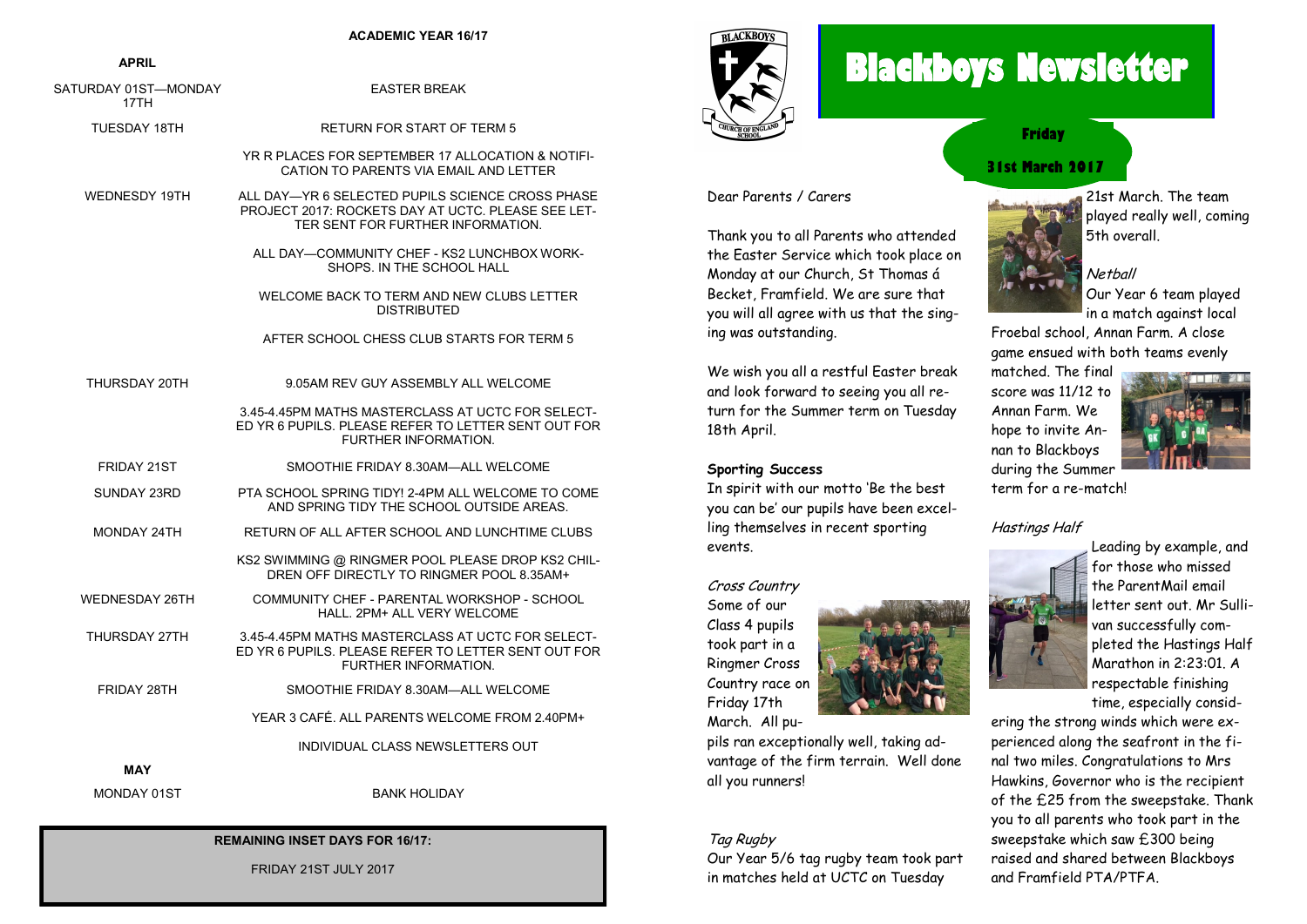#### **ACADEMIC YEAR 16/17**

#### **APRIL**

| SATURDAY 01ST—MONDAY<br>17TH | <b>EASTER BREAK</b>                                                                                                                         |
|------------------------------|---------------------------------------------------------------------------------------------------------------------------------------------|
| <b>TUESDAY 18TH</b>          | <b>RETURN FOR START OF TERM 5</b>                                                                                                           |
|                              | YR R PLACES FOR SEPTEMBER 17 ALLOCATION & NOTIFI-<br>CATION TO PARENTS VIA EMAIL AND LETTER                                                 |
| <b>WEDNESDY 19TH</b>         | ALL DAY—YR 6 SELECTED PUPILS SCIENCE CROSS PHASE<br>PROJECT 2017: ROCKETS DAY AT UCTC. PLEASE SEE LET-<br>TER SENT FOR FURTHER INFORMATION. |
|                              | ALL DAY-COMMUNITY CHEF - KS2 LUNCHBOX WORK-<br>SHOPS. IN THE SCHOOL HALL                                                                    |
|                              | WELCOME BACK TO TERM AND NEW CLUBS LETTER<br><b>DISTRIBUTED</b>                                                                             |
|                              | AFTER SCHOOL CHESS CLUB STARTS FOR TERM 5                                                                                                   |
| THURSDAY 20TH                | 9.05AM REV GUY ASSEMBLY ALL WELCOME                                                                                                         |
|                              | 3.45-4.45PM MATHS MASTERCLASS AT UCTC FOR SELECT-<br>ED YR 6 PUPILS. PLEASE REFER TO LETTER SENT OUT FOR<br>FURTHER INFORMATION.            |
| <b>FRIDAY 21ST</b>           | SMOOTHIE FRIDAY 8.30AM-ALL WELCOME                                                                                                          |
| SUNDAY 23RD                  | PTA SCHOOL SPRING TIDY! 2-4PM ALL WELCOME TO COME<br>AND SPRING TIDY THE SCHOOL OUTSIDE AREAS.                                              |
| MONDAY 24TH                  | RETURN OF ALL AFTER SCHOOL AND LUNCHTIME CLUBS                                                                                              |
|                              | KS2 SWIMMING @ RINGMER POOL PLEASE DROP KS2 CHIL-<br>DREN OFF DIRECTLY TO RINGMER POOL 8.35AM+                                              |
| <b>WEDNESDAY 26TH</b>        | COMMUNITY CHEF - PARENTAL WORKSHOP - SCHOOL<br>HALL. 2PM+ ALL VERY WELCOME                                                                  |
| THURSDAY 27TH                | 3.45-4.45PM MATHS MASTERCLASS AT UCTC FOR SELECT-<br>ED YR 6 PUPILS. PLEASE REFER TO LETTER SENT OUT FOR<br>FURTHER INFORMATION.            |
| FRIDAY 28TH                  | SMOOTHIE FRIDAY 8.30AM-ALL WELCOME                                                                                                          |
|                              | YEAR 3 CAFE. ALL PARENTS WELCOME FROM 2.40PM+                                                                                               |
|                              | INDIVIDUAL CLASS NEWSLETTERS OUT                                                                                                            |
| MAY                          |                                                                                                                                             |
| MONDAY 01ST                  | <b>BANK HOLIDAY</b>                                                                                                                         |

#### **REMAINING INSET DAYS FOR 16/17:**

FRIDAY 21ST JULY 2017

# **RLACKBOVS**

## **Blackboys Newsletter**



Thank you to all Parents who attended the Easter Service which took place on Monday at our Church, St Thomas á Becket, Framfield. We are sure that you will all agree with us that the sing-

We wish you all a restful Easter break and look forward to seeing you all return for the Summer term on Tuesday

In spirit with our motto 'Be the best you can be' our pupils have been excelling themselves in recent sporting

Dear Parents / Carers

ing was outstanding.

18th April.

events.

**Sporting Success** 

### **Friday**

#### **31st March 2017**



21st March. The team played really well, coming 5th overall.

Netball Our Year 6 team played in a match against local

Froebal school, Annan Farm. A close game ensued with both teams evenly

matched. The final score was 11/12 to Annan Farm. We hope to invite Annan to Blackboys



during the Summer term for a re-match!

#### Hastings Half



Leading by example, and for those who missed the ParentMail email letter sent out. Mr Sullivan successfully completed the Hastings Half Marathon in 2:23:01. A respectable finishing time, especially consid-

ering the strong winds which were experienced along the seafront in the final two miles. Congratulations to Mrs Hawkins, Governor who is the recipient of the £25 from the sweepstake. Thank you to all parents who took part in the sweepstake which saw £300 being raised and shared between Blackboys and Framfield PTA/PTFA.



pils ran exceptionally well, taking advantage of the firm terrain. Well done all you runners!

#### Tag Rugby

Our Year 5/6 tag rugby team took part in matches held at UCTC on Tuesday